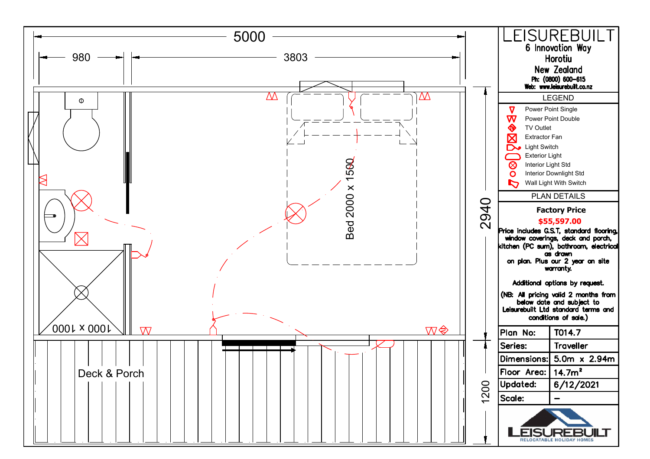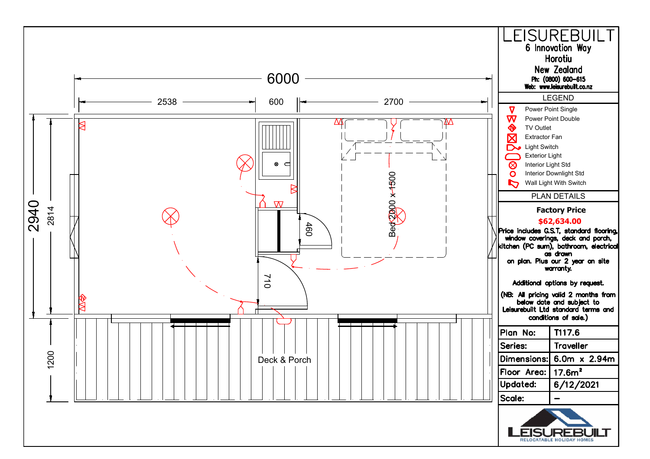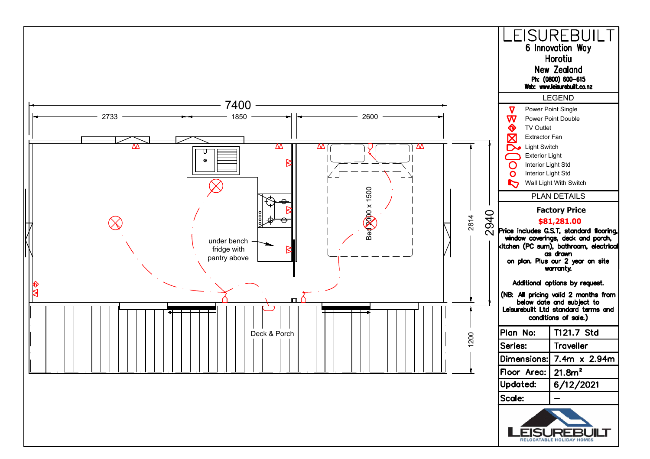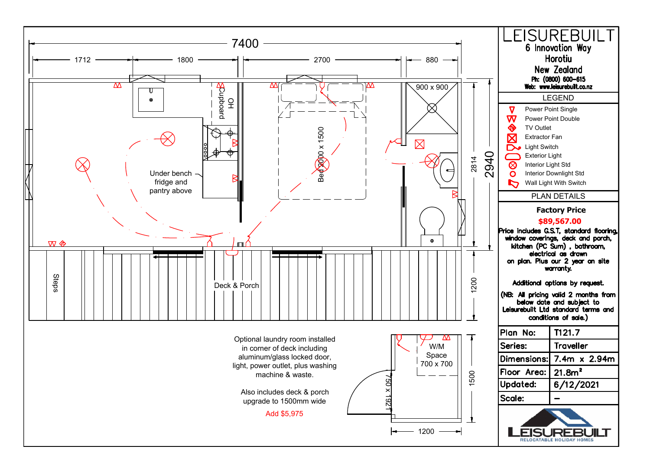